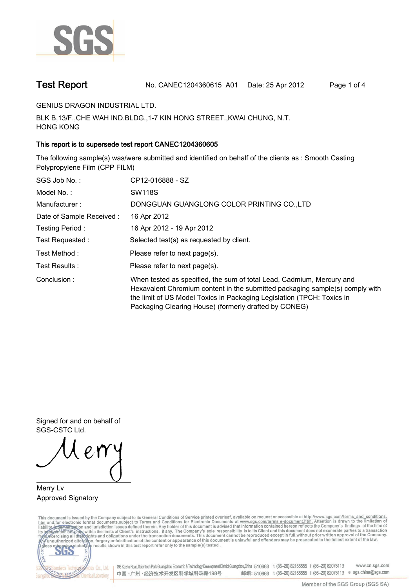

**Test Report. No. CANEC1204360615 A01 Date: 25 Apr 2012. Page 1 of 4.**

**GENIUS DRAGON INDUSTRIAL LTD..**

**BLK B,13/F.,CHE WAH IND.BLDG.,1-7 KIN HONG STREET.,KWAI CHUNG, N.T. HONG KONG.**

### **This report is to supersede test report CANEC1204360605.**

**The following sample(s) was/were submitted and identified on behalf of the clients as : Smooth Casting Polypropylene Film (CPP FILM).**

| SGS Job No.:             | CP12-016888 - SZ                                                                                                                                                                                                                                                                         |
|--------------------------|------------------------------------------------------------------------------------------------------------------------------------------------------------------------------------------------------------------------------------------------------------------------------------------|
| Model No.:               | <b>SW118S</b>                                                                                                                                                                                                                                                                            |
| Manufacturer:            | DONGGUAN GUANGLONG COLOR PRINTING CO., LTD                                                                                                                                                                                                                                               |
| Date of Sample Received: | 16 Apr 2012                                                                                                                                                                                                                                                                              |
| Testing Period:          | 16 Apr 2012 - 19 Apr 2012                                                                                                                                                                                                                                                                |
| Test Requested:          | Selected test(s) as requested by client.                                                                                                                                                                                                                                                 |
| Test Method :            | Please refer to next page(s).                                                                                                                                                                                                                                                            |
| Test Results:            | Please refer to next page(s).                                                                                                                                                                                                                                                            |
| Conclusion:              | When tested as specified, the sum of total Lead, Cadmium, Mercury and<br>Hexavalent Chromium content in the submitted packaging sample(s) comply with<br>the limit of US Model Toxics in Packaging Legislation (TPCH: Toxics in<br>Packaging Clearing House) (formerly drafted by CONEG) |

**Signed for and on behalf of SGS-CSTC Ltd..**

**Merry Lv. Approved Signatory.**

This document is issued by the Company subject to its General Conditions of Service printed overleaf, available on request or accessible at http://www.sgs.com/terms\_and\_conditions.<br>htm\_and,for electronic format documents,s



198 Kezhu Road,Scientech Park Guangzhou Economic & Technology Development District,Guangzhou,China 510663 t (86-20) 82155555 f (86-20) 82075113 www.cn.sgs.com 邮编: 510663 t (86-20) 82155555 f (86-20) 82075113 e sgs.china@sgs.com 中国·广州·经济技术开发区科学城科珠路198号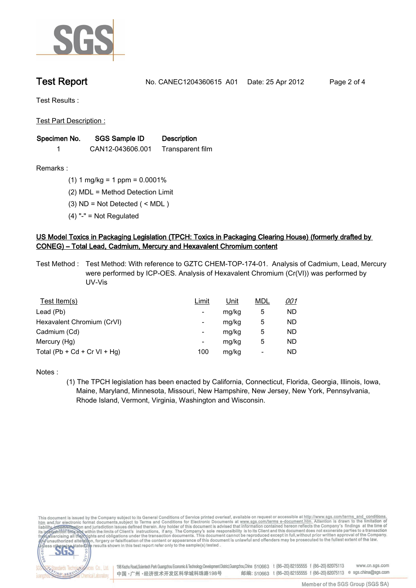

**Test Report. No. CANEC1204360615 A01 Date: 25 Apr 2012. Page 2 of 4.**

**Test Results :.**

**Test Part Description :.**

| Specimen No. | SGS Sample ID    | <b>Description</b> |  |
|--------------|------------------|--------------------|--|
|              | CAN12-043606.001 | Transparent film   |  |

**Remarks :.(1) 1 mg/kg = 1 ppm = 0.0001%.**

**(2) MDL = Method Detection Limit.**

**(3) ND = Not Detected ( < MDL ).**

**(4) "-" = Not Regulated.**

## **US Model Toxics in Packaging Legislation (TPCH: Toxics in Packaging Clearing House) (formerly drafted by CONEG) – Total Lead, Cadmium, Mercury and Hexavalent Chromium content.**

**Test Method :. Test Method: With reference to GZTC CHEM-TOP-174-01. Analysis of Cadmium, Lead, Mercury were performed by ICP-OES. Analysis of Hexavalent Chromium (Cr(VI)) was performed by UV-Vis.**

| Test Item(s)                 | <u>Limit</u> | <u>Unit</u> | <b>MDL</b> | <u>001</u> |
|------------------------------|--------------|-------------|------------|------------|
| Lead (Pb)                    |              | mg/kg       | 5          | ND         |
| Hexavalent Chromium (CrVI)   | -            | mg/kg       | 5          | ND         |
| Cadmium (Cd)                 | -            | mg/kg       | 5          | ND         |
| Mercury (Hg)                 | -            | mg/kg       | 5          | ND         |
| Total (Pb + Cd + Cr VI + Hg) | 100          | mg/kg       |            | ND         |

**Notes :.**

**(1) The TPCH legislation has been enacted by California, Connecticut, Florida, Georgia, Illinois, Iowa, Maine, Maryland, Minnesota, Missouri, New Hampshire, New Jersey, New York, Pennsylvania, Rhode Island, Vermont, Virginia, Washington and Wisconsin..**

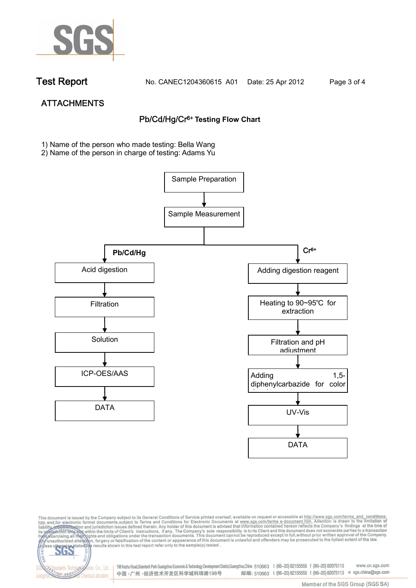

NG SER

**Chemical Laboratory** 

**Test Report. No. CANEC1204360615 A01 Date: 25 Apr 2012. Page 3 of 4.**

# **ATTACHMENTS Pb/Cd/Hg/Cr6+ Testing Flow Chart**

**1)** Name of the person who made testing: Bella Wang

2) Name of the person in charge of testing: Adams Yu





Electric Co., Ltd. 198 Kezhu Road, Scientech Park Guangzhou Economic & Technology Development District, Guangzhou, China 510663 t (86-20) 82155555 f (86-20) 82075113 邮编: 510663 t (86-20) 82155555 f (86-20) 82075113 e sgs.china@sgs.com 中国·广州·经济技术开发区科学城科珠路198号